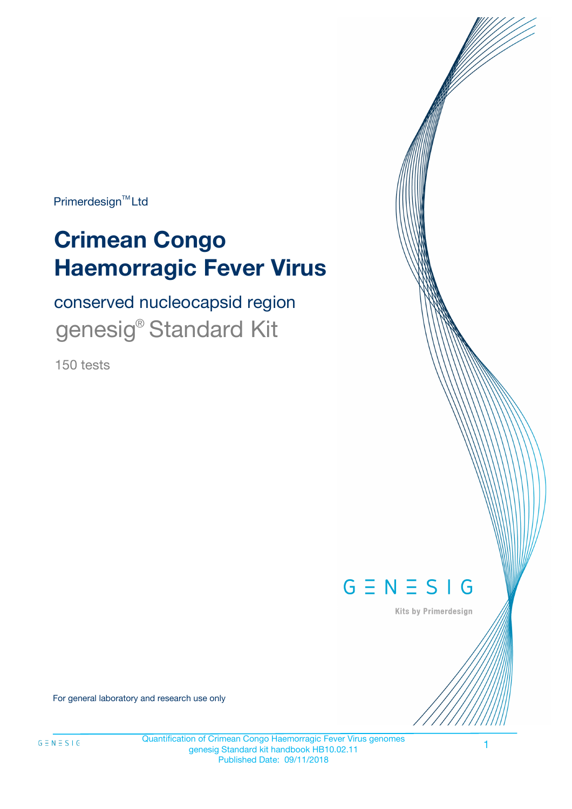Primerdesign<sup>™</sup>Ltd

# **Crimean Congo Haemorragic Fever Virus**

conserved nucleocapsid region genesig® Standard Kit

150 tests



Kits by Primerdesign

For general laboratory and research use only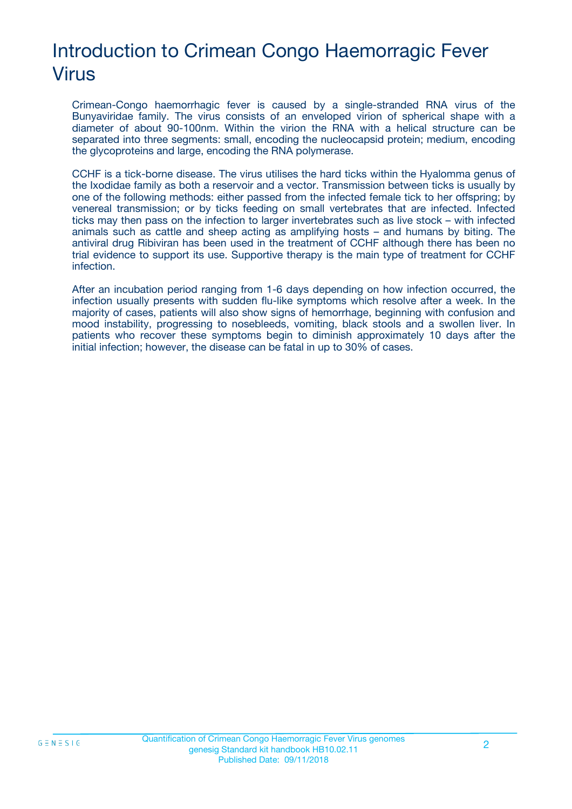# Introduction to Crimean Congo Haemorragic Fever Virus

Crimean-Congo haemorrhagic fever is caused by a single-stranded RNA virus of the Bunyaviridae family. The virus consists of an enveloped virion of spherical shape with a diameter of about 90-100nm. Within the virion the RNA with a helical structure can be separated into three segments: small, encoding the nucleocapsid protein; medium, encoding the glycoproteins and large, encoding the RNA polymerase.

CCHF is a tick-borne disease. The virus utilises the hard ticks within the Hyalomma genus of the Ixodidae family as both a reservoir and a vector. Transmission between ticks is usually by one of the following methods: either passed from the infected female tick to her offspring; by venereal transmission; or by ticks feeding on small vertebrates that are infected. Infected ticks may then pass on the infection to larger invertebrates such as live stock – with infected animals such as cattle and sheep acting as amplifying hosts – and humans by biting. The antiviral drug Ribiviran has been used in the treatment of CCHF although there has been no trial evidence to support its use. Supportive therapy is the main type of treatment for CCHF infection.

After an incubation period ranging from 1-6 days depending on how infection occurred, the infection usually presents with sudden flu-like symptoms which resolve after a week. In the majority of cases, patients will also show signs of hemorrhage, beginning with confusion and mood instability, progressing to nosebleeds, vomiting, black stools and a swollen liver. In patients who recover these symptoms begin to diminish approximately 10 days after the initial infection; however, the disease can be fatal in up to 30% of cases.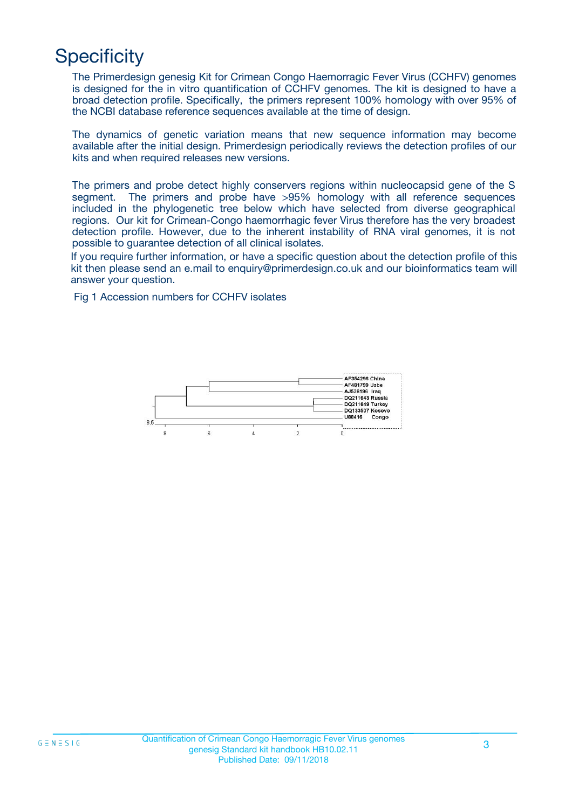# **Specificity**

The Primerdesign genesig Kit for Crimean Congo Haemorragic Fever Virus (CCHFV) genomes is designed for the in vitro quantification of CCHFV genomes. The kit is designed to have a broad detection profile. Specifically, the primers represent 100% homology with over 95% of the NCBI database reference sequences available at the time of design.

The dynamics of genetic variation means that new sequence information may become available after the initial design. Primerdesign periodically reviews the detection profiles of our kits and when required releases new versions.

The primers and probe detect highly conservers regions within nucleocapsid gene of the S segment. The primers and probe have >95% homology with all reference sequences included in the phylogenetic tree below which have selected from diverse geographical regions. Our kit for Crimean-Congo haemorrhagic fever Virus therefore has the very broadest detection profile. However, due to the inherent instability of RNA viral genomes, it is not possible to guarantee detection of all clinical isolates.

If you require further information, or have a specific question about the detection profile of this kit then please send an e.mail to enquiry@primerdesign.co.uk and our bioinformatics team will answer your question.

Fig 1 Accession numbers for CCHFV isolates

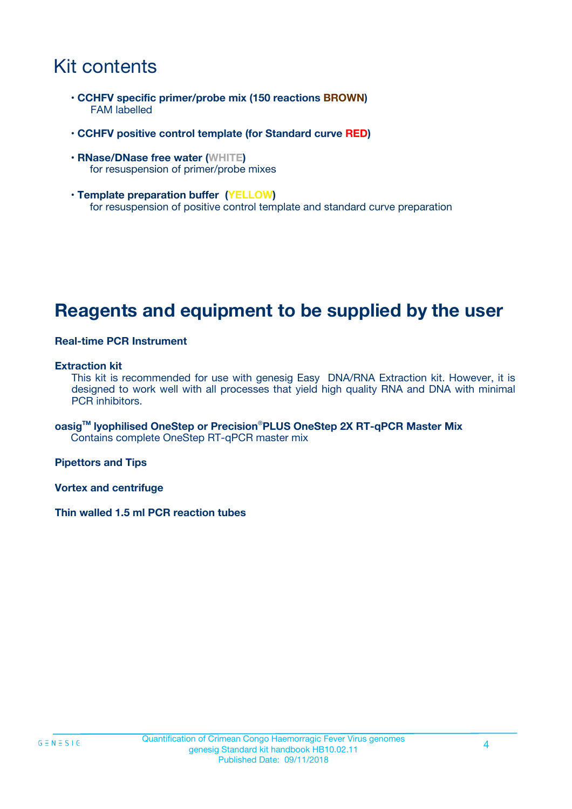# Kit contents

- **CCHFV specific primer/probe mix (150 reactions BROWN)** FAM labelled
- **CCHFV positive control template (for Standard curve RED)**
- **RNase/DNase free water (WHITE)** for resuspension of primer/probe mixes
- **Template preparation buffer (YELLOW)** for resuspension of positive control template and standard curve preparation

### **Reagents and equipment to be supplied by the user**

#### **Real-time PCR Instrument**

#### **Extraction kit**

This kit is recommended for use with genesig Easy DNA/RNA Extraction kit. However, it is designed to work well with all processes that yield high quality RNA and DNA with minimal PCR inhibitors.

**oasigTM lyophilised OneStep or Precision**®**PLUS OneStep 2X RT-qPCR Master Mix** Contains complete OneStep RT-qPCR master mix

**Pipettors and Tips**

**Vortex and centrifuge**

**Thin walled 1.5 ml PCR reaction tubes**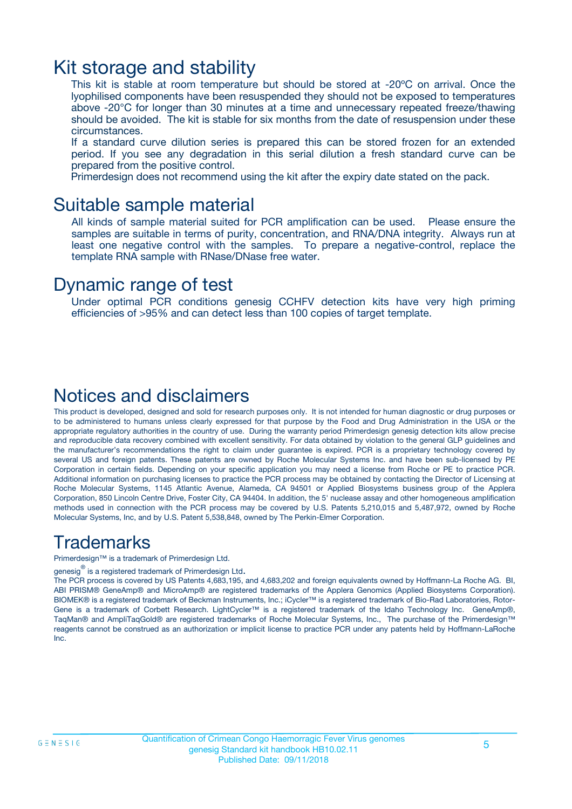### Kit storage and stability

This kit is stable at room temperature but should be stored at -20ºC on arrival. Once the lyophilised components have been resuspended they should not be exposed to temperatures above -20°C for longer than 30 minutes at a time and unnecessary repeated freeze/thawing should be avoided. The kit is stable for six months from the date of resuspension under these circumstances.

If a standard curve dilution series is prepared this can be stored frozen for an extended period. If you see any degradation in this serial dilution a fresh standard curve can be prepared from the positive control.

Primerdesign does not recommend using the kit after the expiry date stated on the pack.

### Suitable sample material

All kinds of sample material suited for PCR amplification can be used. Please ensure the samples are suitable in terms of purity, concentration, and RNA/DNA integrity. Always run at least one negative control with the samples. To prepare a negative-control, replace the template RNA sample with RNase/DNase free water.

### Dynamic range of test

Under optimal PCR conditions genesig CCHFV detection kits have very high priming efficiencies of >95% and can detect less than 100 copies of target template.

### Notices and disclaimers

This product is developed, designed and sold for research purposes only. It is not intended for human diagnostic or drug purposes or to be administered to humans unless clearly expressed for that purpose by the Food and Drug Administration in the USA or the appropriate regulatory authorities in the country of use. During the warranty period Primerdesign genesig detection kits allow precise and reproducible data recovery combined with excellent sensitivity. For data obtained by violation to the general GLP guidelines and the manufacturer's recommendations the right to claim under guarantee is expired. PCR is a proprietary technology covered by several US and foreign patents. These patents are owned by Roche Molecular Systems Inc. and have been sub-licensed by PE Corporation in certain fields. Depending on your specific application you may need a license from Roche or PE to practice PCR. Additional information on purchasing licenses to practice the PCR process may be obtained by contacting the Director of Licensing at Roche Molecular Systems, 1145 Atlantic Avenue, Alameda, CA 94501 or Applied Biosystems business group of the Applera Corporation, 850 Lincoln Centre Drive, Foster City, CA 94404. In addition, the 5' nuclease assay and other homogeneous amplification methods used in connection with the PCR process may be covered by U.S. Patents 5,210,015 and 5,487,972, owned by Roche Molecular Systems, Inc, and by U.S. Patent 5,538,848, owned by The Perkin-Elmer Corporation.

### Trademarks

Primerdesign™ is a trademark of Primerdesign Ltd.

genesig $^\circledR$  is a registered trademark of Primerdesign Ltd.

The PCR process is covered by US Patents 4,683,195, and 4,683,202 and foreign equivalents owned by Hoffmann-La Roche AG. BI, ABI PRISM® GeneAmp® and MicroAmp® are registered trademarks of the Applera Genomics (Applied Biosystems Corporation). BIOMEK® is a registered trademark of Beckman Instruments, Inc.; iCycler™ is a registered trademark of Bio-Rad Laboratories, Rotor-Gene is a trademark of Corbett Research. LightCycler™ is a registered trademark of the Idaho Technology Inc. GeneAmp®, TaqMan® and AmpliTaqGold® are registered trademarks of Roche Molecular Systems, Inc., The purchase of the Primerdesign™ reagents cannot be construed as an authorization or implicit license to practice PCR under any patents held by Hoffmann-LaRoche Inc.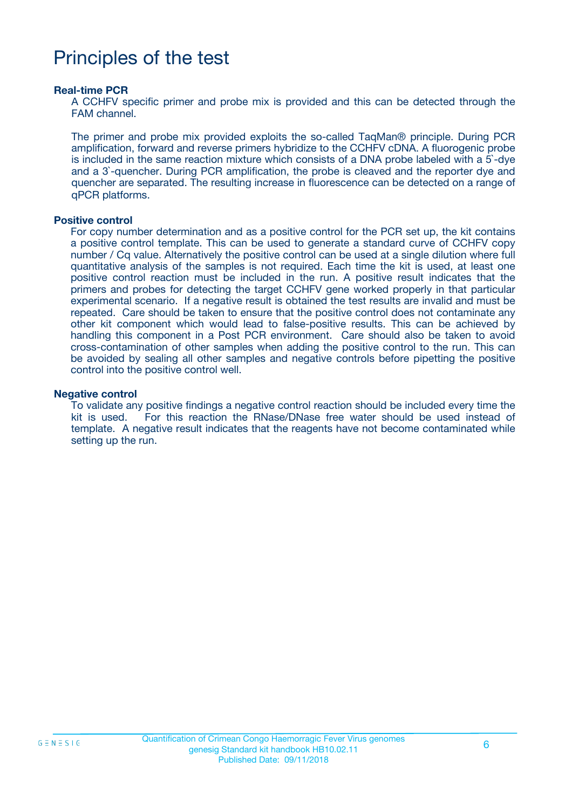# Principles of the test

#### **Real-time PCR**

A CCHFV specific primer and probe mix is provided and this can be detected through the FAM channel.

The primer and probe mix provided exploits the so-called TaqMan® principle. During PCR amplification, forward and reverse primers hybridize to the CCHFV cDNA. A fluorogenic probe is included in the same reaction mixture which consists of a DNA probe labeled with a 5`-dye and a 3`-quencher. During PCR amplification, the probe is cleaved and the reporter dye and quencher are separated. The resulting increase in fluorescence can be detected on a range of qPCR platforms.

#### **Positive control**

For copy number determination and as a positive control for the PCR set up, the kit contains a positive control template. This can be used to generate a standard curve of CCHFV copy number / Cq value. Alternatively the positive control can be used at a single dilution where full quantitative analysis of the samples is not required. Each time the kit is used, at least one positive control reaction must be included in the run. A positive result indicates that the primers and probes for detecting the target CCHFV gene worked properly in that particular experimental scenario. If a negative result is obtained the test results are invalid and must be repeated. Care should be taken to ensure that the positive control does not contaminate any other kit component which would lead to false-positive results. This can be achieved by handling this component in a Post PCR environment. Care should also be taken to avoid cross-contamination of other samples when adding the positive control to the run. This can be avoided by sealing all other samples and negative controls before pipetting the positive control into the positive control well.

#### **Negative control**

To validate any positive findings a negative control reaction should be included every time the kit is used. For this reaction the RNase/DNase free water should be used instead of template. A negative result indicates that the reagents have not become contaminated while setting up the run.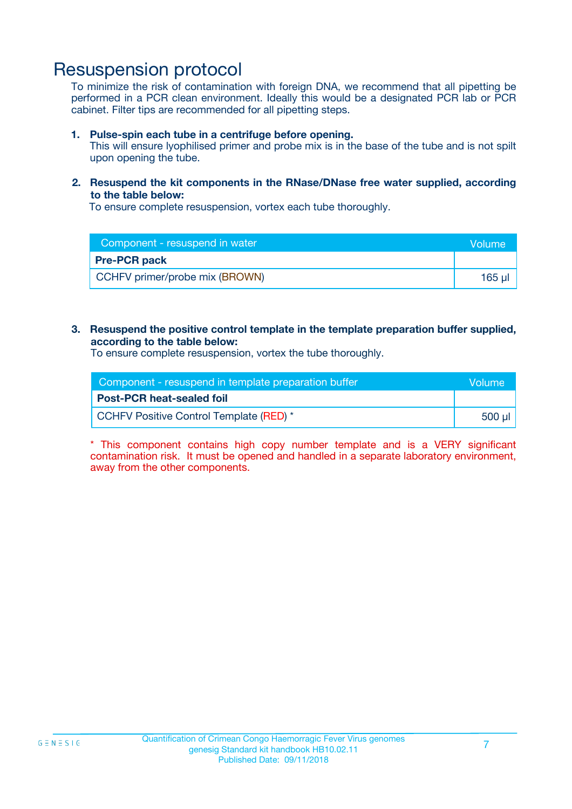### Resuspension protocol

To minimize the risk of contamination with foreign DNA, we recommend that all pipetting be performed in a PCR clean environment. Ideally this would be a designated PCR lab or PCR cabinet. Filter tips are recommended for all pipetting steps.

#### **1. Pulse-spin each tube in a centrifuge before opening.**

This will ensure lyophilised primer and probe mix is in the base of the tube and is not spilt upon opening the tube.

#### **2. Resuspend the kit components in the RNase/DNase free water supplied, according to the table below:**

To ensure complete resuspension, vortex each tube thoroughly.

| Component - resuspend in water | <b>Nolume</b> |
|--------------------------------|---------------|
| <b>Pre-PCR pack</b>            |               |
| CCHFV primer/probe mix (BROWN) | 165 µl        |

#### **3. Resuspend the positive control template in the template preparation buffer supplied, according to the table below:**

To ensure complete resuspension, vortex the tube thoroughly.

| Component - resuspend in template preparation buffer |         |  |
|------------------------------------------------------|---------|--|
| <b>Post-PCR heat-sealed foil</b>                     |         |  |
| CCHFV Positive Control Template (RED) *              | .500 ul |  |

\* This component contains high copy number template and is a VERY significant contamination risk. It must be opened and handled in a separate laboratory environment, away from the other components.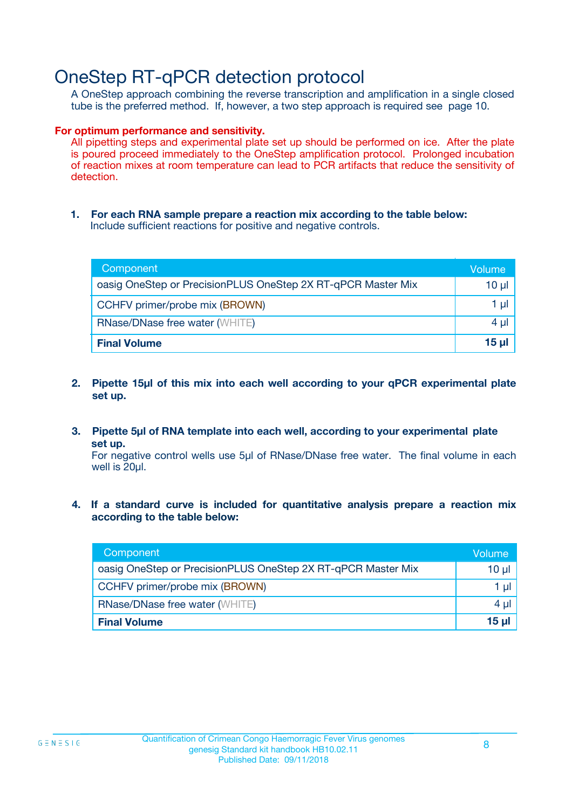# OneStep RT-qPCR detection protocol

A OneStep approach combining the reverse transcription and amplification in a single closed tube is the preferred method. If, however, a two step approach is required see page 10.

#### **For optimum performance and sensitivity.**

All pipetting steps and experimental plate set up should be performed on ice. After the plate is poured proceed immediately to the OneStep amplification protocol. Prolonged incubation of reaction mixes at room temperature can lead to PCR artifacts that reduce the sensitivity of detection.

**1. For each RNA sample prepare a reaction mix according to the table below:** Include sufficient reactions for positive and negative controls.

| Component                                                    | Volume   |
|--------------------------------------------------------------|----------|
| oasig OneStep or PrecisionPLUS OneStep 2X RT-qPCR Master Mix | $10 \mu$ |
| CCHFV primer/probe mix (BROWN)                               | 1 µl     |
| <b>RNase/DNase free water (WHITE)</b>                        | $4 \mu$  |
| <b>Final Volume</b>                                          | $15$ µ   |

- **2. Pipette 15µl of this mix into each well according to your qPCR experimental plate set up.**
- **3. Pipette 5µl of RNA template into each well, according to your experimental plate set up.**

For negative control wells use 5µl of RNase/DNase free water. The final volume in each well is 20ul.

**4. If a standard curve is included for quantitative analysis prepare a reaction mix according to the table below:**

| Component                                                    | Volume   |
|--------------------------------------------------------------|----------|
| oasig OneStep or PrecisionPLUS OneStep 2X RT-qPCR Master Mix | 10 µl    |
| CCHFV primer/probe mix (BROWN)                               | 1 ul     |
| <b>RNase/DNase free water (WHITE)</b>                        | $4 \mu$  |
| <b>Final Volume</b>                                          | $15 \mu$ |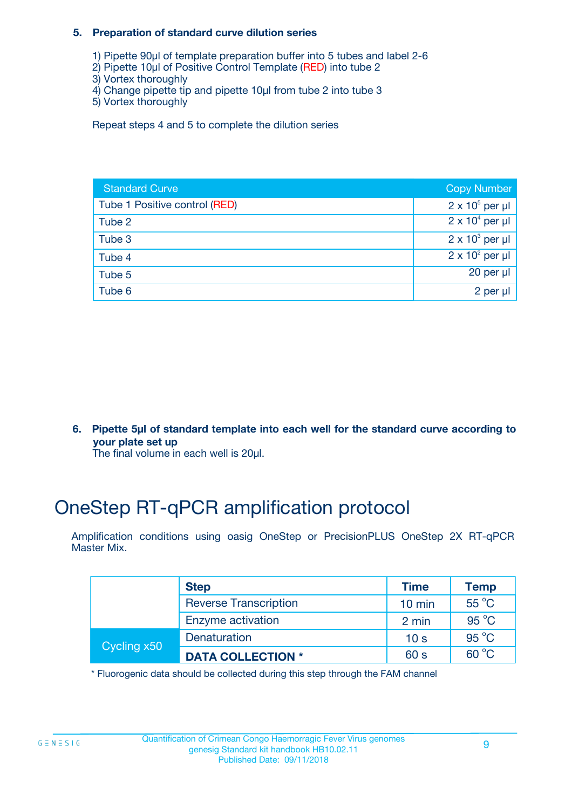#### **5. Preparation of standard curve dilution series**

- 1) Pipette 90µl of template preparation buffer into 5 tubes and label 2-6
- 2) Pipette 10µl of Positive Control Template (RED) into tube 2
- 3) Vortex thoroughly
- 4) Change pipette tip and pipette 10µl from tube 2 into tube 3
- 5) Vortex thoroughly

Repeat steps 4 and 5 to complete the dilution series

| <b>Standard Curve</b>         | <b>Copy Number</b>     |
|-------------------------------|------------------------|
| Tube 1 Positive control (RED) | $2 \times 10^5$ per µl |
| Tube 2                        | $2 \times 10^4$ per µl |
| Tube 3                        | $2 \times 10^3$ per µl |
| Tube 4                        | $2 \times 10^2$ per µl |
| Tube 5                        | 20 per $\mu$           |
| Tube 6                        | 2 per µl               |

**6. Pipette 5µl of standard template into each well for the standard curve according to your plate set up**

The final volume in each well is 20ul.

# OneStep RT-qPCR amplification protocol

Amplification conditions using oasig OneStep or PrecisionPLUS OneStep 2X RT-qPCR Master Mix.

|             | <b>Step</b>                  | <b>Time</b>      | <b>Temp</b>    |
|-------------|------------------------------|------------------|----------------|
|             | <b>Reverse Transcription</b> | $10 \text{ min}$ | 55 °C          |
|             | Enzyme activation            | 2 min            | $95^{\circ}$ C |
| Cycling x50 | Denaturation                 | 10 <sub>s</sub>  | $95^{\circ}$ C |
|             | <b>DATA COLLECTION *</b>     | 60 s             | $60^{\circ}$ C |

\* Fluorogenic data should be collected during this step through the FAM channel